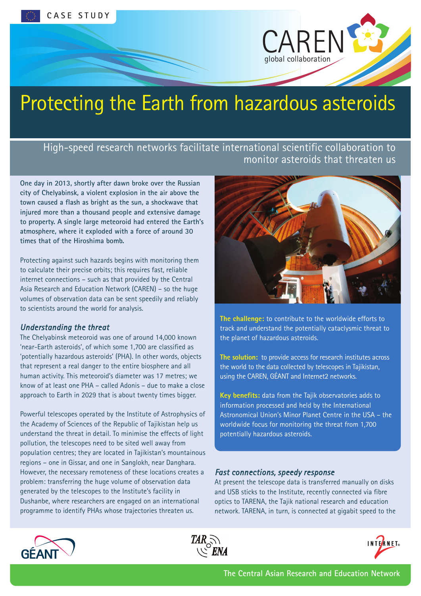

# Protecting the Earth from hazardous asteroids

High-speed research networks facilitate international scientific collaboration to monitor asteroids that threaten us

**One day in 2013, shortly after dawn broke over the Russian city of Chelyabinsk, a violent explosion in the air above the town caused a flash as bright as the sun, a shockwave that injured more than a thousand people and extensive damage to property. A single large meteoroid had entered the Earth's atmosphere, where it exploded with a force of around 30 times that of the Hiroshima bomb.**

Protecting against such hazards begins with monitoring them to calculate their precise orbits; this requires fast, reliable internet connections – such as that provided by the Central Asia Research and Education Network (CAREN) – so the huge volumes of observation data can be sent speedily and reliably to scientists around the world for analysis.

#### *Understanding the threat*

The Chelyabinsk meteoroid was one of around 14,000 known 'near-Earth asteroids', of which some 1,700 are classified as 'potentially hazardous asteroids' (PHA). In other words, objects that represent a real danger to the entire biosphere and all human activity. This meteoroid's diameter was 17 metres; we know of at least one PHA – called Adonis – due to make a close approach to Earth in 2029 that is about twenty times bigger.

Powerful telescopes operated by the Institute of Astrophysics of the Academy of Sciences of the Republic of Tajikistan help us understand the threat in detail. To minimise the effects of light pollution, the telescopes need to be sited well away from population centres; they are located in Tajikistan's mountainous regions – one in Gissar, and one in Sanglokh, near Danghara. However, the necessary remoteness of these locations creates a problem: transferring the huge volume of observation data generated by the telescopes to the Institute's facility in Dushanbe, where researchers are engaged on an international programme to identify PHAs whose trajectories threaten us.



**The challenge:** to contribute to the worldwide efforts to track and understand the potentially cataclysmic threat to the planet of hazardous asteroids.

**The solution:** to provide access for research institutes across the world to the data collected by telescopes in Tajikistan, using the CAREN, GÉANT and Internet2 networks.

**Key benefits:** data from the Tajik observatories adds to information processed and held by the International Astronomical Union's Minor Planet Centre in the USA – the worldwide focus for monitoring the threat from 1,700 potentially hazardous asteroids.

#### *Fast connections, speedy response*

At present the telescope data is transferred manually on disks and USB sticks to the Institute, recently connected via fibre optics to TARENA, the Tajik national research and education network. TARENA, in turn, is connected at gigabit speed to the